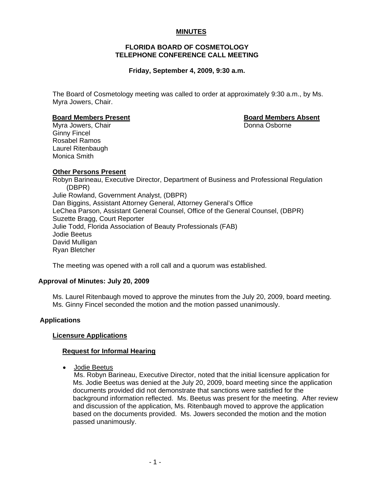# **MINUTES**

## **FLORIDA BOARD OF COSMETOLOGY TELEPHONE CONFERENCE CALL MEETING**

## **Friday, September 4, 2009, 9:30 a.m.**

The Board of Cosmetology meeting was called to order at approximately 9:30 a.m., by Ms. Myra Jowers, Chair.

#### **Board Members Present Board Members Absent**

Myra Jowers, ChairDonna Osborne Ginny Fincel Rosabel Ramos Laurel Ritenbaugh Monica Smith

## **Other Persons Present**

Robyn Barineau, Executive Director, Department of Business and Professional Regulation (DBPR) Julie Rowland, Government Analyst, (DBPR) Dan Biggins, Assistant Attorney General, Attorney General's Office LeChea Parson, Assistant General Counsel, Office of the General Counsel, (DBPR) Suzette Bragg, Court Reporter Julie Todd, Florida Association of Beauty Professionals (FAB) Jodie Beetus David Mulligan Ryan Bletcher

The meeting was opened with a roll call and a quorum was established.

#### **Approval of Minutes: July 20, 2009**

Ms. Laurel Ritenbaugh moved to approve the minutes from the July 20, 2009, board meeting. Ms. Ginny Fincel seconded the motion and the motion passed unanimously.

#### **Applications**

#### **Licensure Applications**

#### **Request for Informal Hearing**

• Jodie Beetus

 Ms. Robyn Barineau, Executive Director, noted that the initial licensure application for Ms. Jodie Beetus was denied at the July 20, 2009, board meeting since the application documents provided did not demonstrate that sanctions were satisfied for the background information reflected. Ms. Beetus was present for the meeting. After review and discussion of the application, Ms. Ritenbaugh moved to approve the application based on the documents provided. Ms. Jowers seconded the motion and the motion passed unanimously.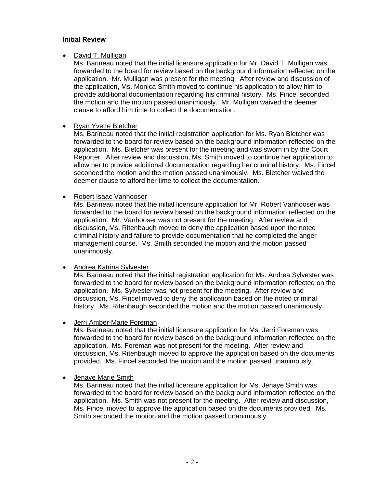#### **Initial Review**

#### • David T. Mulligan

Ms. Barineau noted that the initial licensure application for Mr. David T. Mulligan was forwarded to the board for review based on the background information reflected on the application. Mr. Mulligan was present for the meeting. After review and discussion of the application, Ms. Monica Smith moved to continue his application to allow him to provide additional documentation regarding his criminal history. Ms. Fincel seconded the motion and the motion passed unanimously. Mr. Mulligan waived the deemer clause to afford him time to collect the documentation.

## • Ryan Yvette Bletcher

Ms. Barineau noted that the initial registration application for Ms. Ryan Bletcher was forwarded to the board for review based on the background information reflected on the application. Ms. Bletcher was present for the meeting and was sworn in by the Court Reporter. After review and discussion, Ms. Smith moved to continue her application to allow her to provide additional documentation regarding her criminal history. Ms. Fincel seconded the motion and the motion passed unanimously. Ms. Bletcher waived the deemer clause to afford her time to collect the documentation.

## • Robert Isaac Vanhooser

Ms. Barineau noted that the initial licensure application for Mr. Robert Vanhooser was forwarded to the board for review based on the background information reflected on the application. Mr. Vanhooser was not present for the meeting. After review and discussion, Ms. Ritenbaugh moved to deny the application based upon the noted criminal history and failure to provide documentation that he completed the anger management course. Ms. Smith seconded the motion and the motion passed unanimously.

# • Andrea Katrina Sylvester

Ms. Barineau noted that the initial registration application for Ms. Andrea Sylvester was forwarded to the board for review based on the background information reflected on the application. Ms. Sylvester was not present for the meeting. After review and discussion, Ms. Fincel moved to deny the application based on the noted criminal history. Ms. Ritenbaugh seconded the motion and the motion passed unanimously.

#### • Jerri Amber-Marie Foreman

Ms. Barineau noted that the initial licensure application for Ms. Jerri Foreman was forwarded to the board for review based on the background information reflected on the application. Ms. Foreman was not present for the meeting. After review and discussion, Ms. Ritenbaugh moved to approve the application based on the documents provided. Ms. Fincel seconded the motion and the motion passed unanimously.

## • Jenaye Marie Smith

Ms. Barineau noted that the initial licensure application for Ms. Jenaye Smith was forwarded to the board for review based on the background information reflected on the application. Ms. Smith was not present for the meeting. After review and discussion, Ms. Fincel moved to approve the application based on the documents provided. Ms. Smith seconded the motion and the motion passed unanimously.